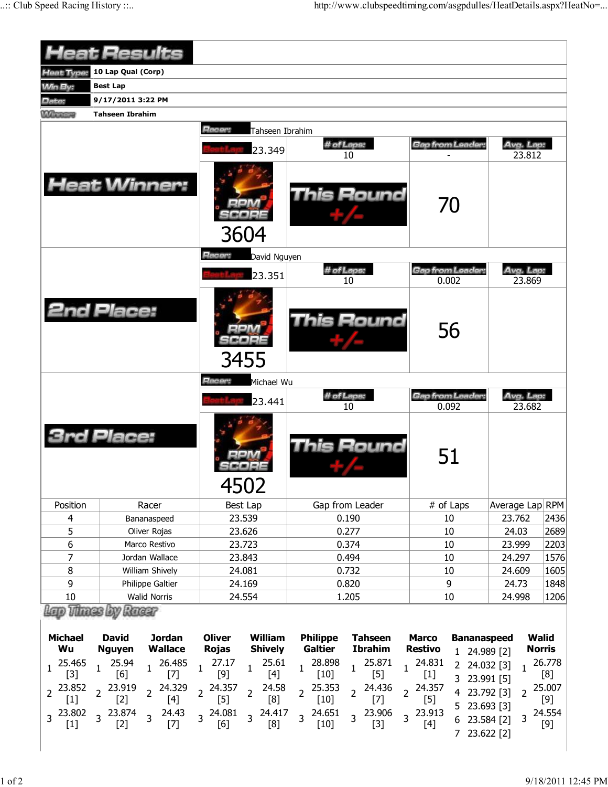|                          | <b>Heat Results</b>                                              |                                                                   |                                    |                                   |                                                                      |                        |        |  |
|--------------------------|------------------------------------------------------------------|-------------------------------------------------------------------|------------------------------------|-----------------------------------|----------------------------------------------------------------------|------------------------|--------|--|
| Heat Type:               | 10 Lap Qual (Corp)                                               |                                                                   |                                    |                                   |                                                                      |                        |        |  |
| <b>Win By:</b>           | <b>Best Lap</b>                                                  |                                                                   |                                    |                                   |                                                                      |                        |        |  |
| Date:                    | 9/17/2011 3:22 PM                                                |                                                                   |                                    |                                   |                                                                      |                        |        |  |
| Minney                   | <b>Tahseen Ibrahim</b>                                           |                                                                   |                                    |                                   |                                                                      |                        |        |  |
|                          |                                                                  | Racer:<br>Tahseen Ibrahim                                         |                                    |                                   |                                                                      |                        |        |  |
|                          |                                                                  |                                                                   | # of Laps:                         |                                   | Gap from Leader:                                                     | Avg. Lap:              |        |  |
|                          |                                                                  | 23.349                                                            | 10                                 |                                   |                                                                      | 23.812                 |        |  |
|                          | <b>Heat Winner:</b>                                              | 3604                                                              | This Round                         | 70                                |                                                                      |                        |        |  |
|                          |                                                                  | Racer:<br>David Nguyen                                            |                                    |                                   |                                                                      |                        |        |  |
|                          |                                                                  | 23.351                                                            | # of Laps:                         |                                   | Gap from Leader:                                                     | Avg. Lap:              |        |  |
|                          |                                                                  |                                                                   | 10                                 |                                   | 0.002                                                                | 23,869                 |        |  |
|                          | <b>2nd Place:</b>                                                | 3455                                                              |                                    | <b>This Round</b>                 | 56                                                                   |                        |        |  |
|                          |                                                                  | Racer:<br>Michael Wu                                              |                                    |                                   |                                                                      |                        |        |  |
|                          |                                                                  | 23.441                                                            | # of Laps:                         |                                   | Gap from Leader:                                                     | Avg. Lap:<br>23.682    |        |  |
|                          | <b>3rd Place:</b>                                                | 4502                                                              | 10                                 | This Round                        | 0.092<br>51                                                          |                        |        |  |
| Position                 | Racer                                                            | Best Lap                                                          | Gap from Leader                    |                                   | # of Laps                                                            | Average Lap RPM        |        |  |
| $\overline{4}$           | Bananaspeed                                                      | 23.539                                                            | 0.190                              |                                   | 10                                                                   | 23.762                 | 2436   |  |
| 5                        | Oliver Rojas                                                     | 23.626                                                            | 0.277                              |                                   | 10                                                                   | 24.03                  | 2689   |  |
| 6                        | Marco Restivo                                                    | 23.723                                                            | 0.374                              |                                   | 10                                                                   | 23.999                 | 2203   |  |
| $\overline{7}$           | Jordan Wallace                                                   | 23.843                                                            | 0.494                              |                                   | 10                                                                   | 24.297                 | 1576   |  |
| 8                        | William Shively                                                  | 24.081                                                            | 0.732                              |                                   | 10                                                                   | 24.609                 | 1605   |  |
| 9                        | Philippe Galtier<br><b>Walid Norris</b>                          | 24.169                                                            | 0.820                              |                                   | 9                                                                    | 24.73                  | 1848   |  |
| 10                       | These by Russ                                                    | 24.554                                                            | 1.205                              |                                   | 10                                                                   | 24.998                 | 1206   |  |
|                          |                                                                  |                                                                   |                                    |                                   |                                                                      |                        |        |  |
| <b>Michael</b><br>Wu     | <b>Jordan</b><br><b>David</b><br><b>Wallace</b><br><b>Nguyen</b> | <b>Oliver</b><br><b>William</b><br><b>Rojas</b><br><b>Shively</b> | <b>Philippe</b><br><b>Galtier</b>  | <b>Tahseen</b><br><b>Ibrahim</b>  | <b>Marco</b><br><b>Bananaspeed</b><br><b>Restivo</b><br>1 24.989 [2] | Walid<br><b>Norris</b> |        |  |
| 25.465<br>1              | 25.94<br>26.485<br>1<br>1                                        | 27.17<br>25.61<br>$\mathbf 1$<br>1                                | 28.898<br>1                        | 25.871<br>1                       | 24.831<br>2 24.032 [3]<br>1                                          | 1                      | 26.778 |  |
| $[3]$                    | [6]<br>$[7]$                                                     | $[9]$<br>$[4]$                                                    | $[10]$                             | $[5]$                             | $[1]$<br>3 23.991 [5]                                                |                        | [8]    |  |
| 23.852<br>$\overline{2}$ | 23.919<br>24.329<br>2 <sup>1</sup><br>$\overline{2}$             | 24.357<br>24.58<br>$\overline{2}$<br>$\overline{2}$               | 25.353<br>$\overline{2}$           | 24.436<br>$\overline{2}$          | 24.357<br>$\overline{2}$<br>4 23.792 [3]                             | 2                      | 25.007 |  |
| $[1]$                    | $[2]$<br>$[4]$                                                   | [8]<br>$[5]$                                                      | $[10]$                             | $[7]$                             | $[5]$<br>5 23.693 [3]                                                |                        | [9]    |  |
| 3 23.802<br>$[1]$        | 3 23.874<br>24.43<br>$\overline{3}$<br>$[7]$<br>$[2]$            | 3 24.081<br>24.417<br>$\overline{3}$<br>[6]<br>[8]                | 24.651<br>$\overline{3}$<br>$[10]$ | 23.906<br>$\overline{3}$<br>$[3]$ | 23.913<br>$\overline{3}$<br>6 23.584 [2]<br>$[4]$<br>7 23.622 [2]    | 3                      | 24.554 |  |
|                          |                                                                  |                                                                   |                                    |                                   |                                                                      |                        |        |  |

 $\overline{\phantom{a}}$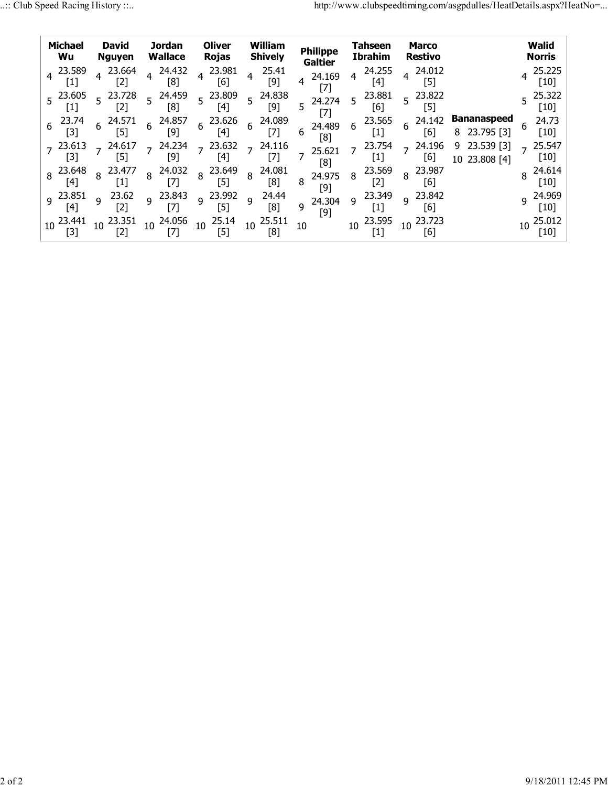|   | <b>Michael</b><br>Wu |              | <b>David</b><br><b>Nguyen</b> |                | <b>Jordan</b><br><b>Wallace</b> |                 | <b>Oliver</b><br><b>Rojas</b> |                | William<br><b>Shively</b> |              | <b>Philippe</b><br><b>Galtier</b> |                 | Tahseen<br>Ibrahim           |                | Marco<br><b>Restivo</b> |         |                                  |              | Walid<br>Norris              |
|---|----------------------|--------------|-------------------------------|----------------|---------------------------------|-----------------|-------------------------------|----------------|---------------------------|--------------|-----------------------------------|-----------------|------------------------------|----------------|-------------------------|---------|----------------------------------|--------------|------------------------------|
|   | 4 23.589<br>$[1]$    |              | 23.664<br>[2]                 | 4              | 24.432<br>$\lceil 8 \rceil$     | $\overline{4}$  | 23.981<br>[6]                 | 4              | 25.41<br>[9]              | 4            | 24.169                            | 4               | 24.255<br>[4]                |                | 24.012<br>[5]           |         |                                  |              | 25.225<br>[10]               |
|   | $5^{23.605}$<br>[1]  |              | 5 23.728<br>[2]               | $\overline{5}$ | 24.459<br>[8]                   | $\overline{5}$  | 23.809<br>[4]                 | 5              | 24.838<br>[9]             | 5            | 24.274                            | 5               | 23.881<br>[6]                | 5 <sup>1</sup> | 23.822<br>[5]           |         |                                  |              | 25.322<br>$[10]$             |
| 6 | 23.74<br>[3]         | 6            | 24.571<br>ſ51                 | 6              | 24.857<br>[9]                   | $6\overline{6}$ | 23.626<br>[4]                 | 6              | 24.089<br>$[7]$           | 6            | 24.489<br>[8]                     | 6               | 23.565<br>$\left[ 1 \right]$ | 6              | 24.142<br>[6]           | 8       | <b>Bananaspeed</b><br>23.795 [3] | h.           | 24.73<br>$[10]$              |
|   | 23.613<br>[3]        |              | 24.617<br>51)                 |                | 24.234<br>[9]                   | $\overline{z}$  | 23.632<br>[4]                 | $\overline{7}$ | 24.116                    |              | 25.621<br>[8]                     | $\overline{7}$  | 23.754<br>$\left[1\right]$   |                | 24.196<br>[6]           | 9<br>10 | 23.539<br>3<br>23.808 [4]        |              | 25.547<br>$[10]$             |
|   | 8 23.648<br>[4]      |              | $8^{23.477}$<br>[1]           | 8              | 24.032<br>[7]                   | $\overline{8}$  | 23.649<br>$[5]$               | 8              | 24.081<br>[8]             | 8            | 24.975<br>$[9]$                   | 8               | 23.569<br>[2]                | 8              | 23.987<br>[6]           |         |                                  |              | 24.614<br>[10]               |
|   | $9^{23.851}$<br>141  | $\mathsf{q}$ | 23.62<br>[2]                  | $\mathsf{q}$   | 23.843<br>171                   | $\mathsf{q}$    | 23.992<br>[5]                 | $\mathsf{q}$   | 24.44<br>[8]              | $\mathsf{q}$ | 24.304<br>[9]                     | 9               | 23.349<br> 1                 | $\overline{9}$ | 23.842<br>[6]           |         |                                  | $\mathsf{q}$ | 24.969<br>$[10]$             |
|   | 10 23.441<br>$[3]$   |              | $10^{23.351}$<br>[2]          | 10             | 24.056                          | 10              | 25.14<br>$[5]$                |                | $10^{25.511}$<br>[8]      | 10           |                                   | 10 <sup>°</sup> | 23.595<br>[1]                | 10             | 23.723<br>[6]           |         |                                  |              | 25.012<br>$\lceil 10 \rceil$ |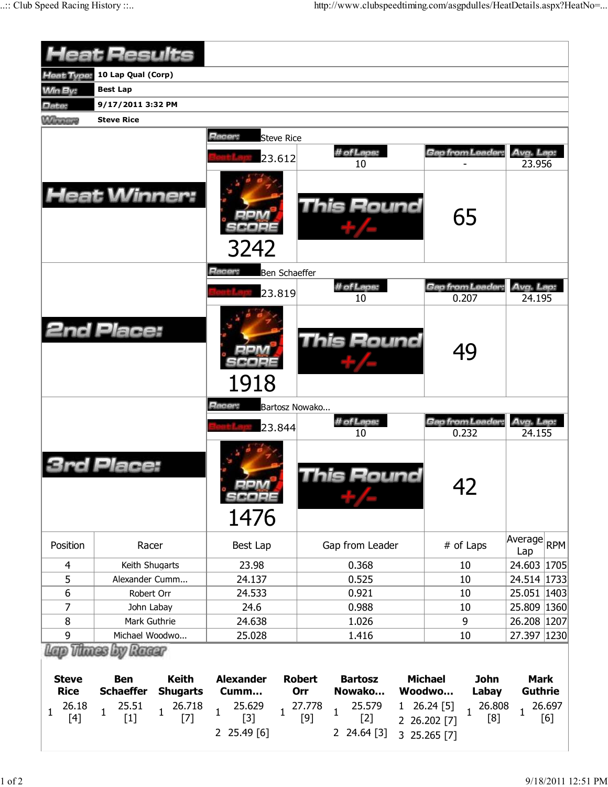|                                                    | <b>Heat Results</b>                                                                    |                                                                    |                                                                  |                                                                                                  |                                                                                                                |                                                     |
|----------------------------------------------------|----------------------------------------------------------------------------------------|--------------------------------------------------------------------|------------------------------------------------------------------|--------------------------------------------------------------------------------------------------|----------------------------------------------------------------------------------------------------------------|-----------------------------------------------------|
| <b>Heat Type:</b>                                  | 10 Lap Qual (Corp)                                                                     |                                                                    |                                                                  |                                                                                                  |                                                                                                                |                                                     |
| <b>Min By:</b>                                     | <b>Best Lap</b>                                                                        |                                                                    |                                                                  |                                                                                                  |                                                                                                                |                                                     |
| Date:                                              | 9/17/2011 3:32 PM                                                                      |                                                                    |                                                                  |                                                                                                  |                                                                                                                |                                                     |
| <b>Winners</b>                                     | <b>Steve Rice</b>                                                                      |                                                                    |                                                                  |                                                                                                  |                                                                                                                |                                                     |
|                                                    | <b>Heat Winner:</b>                                                                    |                                                                    | Racer:<br><b>Steve Rice</b><br>23.612                            | # of Laps:<br>10<br><b>This Round</b>                                                            | Gap from Leader                                                                                                | Avg. Lap:<br>23.956                                 |
|                                                    |                                                                                        |                                                                    | 3242<br>Racer:<br>Ben Schaeffer                                  |                                                                                                  | 65                                                                                                             |                                                     |
|                                                    |                                                                                        |                                                                    |                                                                  | # of Laps:                                                                                       | Gap from Leader                                                                                                | Avg. Lap:                                           |
|                                                    |                                                                                        |                                                                    | 23.819                                                           | 10                                                                                               | 0.207                                                                                                          | 24.195                                              |
|                                                    | <b>2nd Place:</b>                                                                      |                                                                    | 1918                                                             | This Round                                                                                       | 49                                                                                                             |                                                     |
|                                                    |                                                                                        |                                                                    | Racer:                                                           | Bartosz Nowako                                                                                   |                                                                                                                |                                                     |
|                                                    |                                                                                        |                                                                    | 23.844                                                           | # of Laps:                                                                                       | Gap from Leader                                                                                                | Avg. Lap:                                           |
|                                                    | Place:                                                                                 |                                                                    | $\blacksquare$<br>scaee<br>1476                                  | 10<br>his Round                                                                                  | 0.232<br>42                                                                                                    | 24.155                                              |
| Position                                           | Racer                                                                                  |                                                                    | Best Lap                                                         | Gap from Leader                                                                                  | # of Laps                                                                                                      | Average RPM<br>Lap                                  |
| 4                                                  | Keith Shugarts                                                                         |                                                                    | 23.98                                                            | 0.368                                                                                            | 10                                                                                                             | 24.603 1705                                         |
| 5                                                  | Alexander Cumm                                                                         |                                                                    | 24.137                                                           | 0.525                                                                                            | 10                                                                                                             | 24.514 1733                                         |
| 6                                                  | Robert Orr                                                                             |                                                                    | 24.533                                                           | 0.921                                                                                            | 10                                                                                                             | 25.051 1403                                         |
| 7                                                  | John Labay                                                                             |                                                                    | 24.6                                                             | 0.988                                                                                            | 10                                                                                                             | 25.809 1360                                         |
| $\, 8$                                             | Mark Guthrie                                                                           |                                                                    | 24.638                                                           | 1.026                                                                                            | 9                                                                                                              | 26.208 1207                                         |
| 9                                                  | Michael Woodwo                                                                         |                                                                    | 25.028                                                           | 1.416                                                                                            | 10                                                                                                             | 27.397   1230                                       |
| <b>Steve</b><br><b>Rice</b><br>26.18<br>1<br>$[4]$ | ii Thines by Racer<br><b>Ben</b><br><b>Schaeffer</b><br>25.51<br>$\mathbf{1}$<br>$[1]$ | <b>Keith</b><br><b>Shugarts</b><br>26.718<br>$\mathbf{1}$<br>$[7]$ | <b>Alexander</b><br>Cumm<br>25.629<br>$\mathbf{1}$<br>1<br>$[3]$ | <b>Robert</b><br><b>Bartosz</b><br>Nowako<br>Orr<br>25.579<br>27.778<br>1<br>1<br>$[2]$<br>$[9]$ | <b>Michael</b><br><b>John</b><br>Woodwo<br>Labay<br>26.808<br>26.24 [5]<br>$\mathbf{1}$<br>[8]<br>2 26.202 [7] | <b>Mark</b><br><b>Guthrie</b><br>26.697<br>1<br>[6] |
|                                                    |                                                                                        |                                                                    | 25.49 [6]<br>2                                                   | 2 24.64 [3]                                                                                      | 3 25.265 [7]                                                                                                   |                                                     |